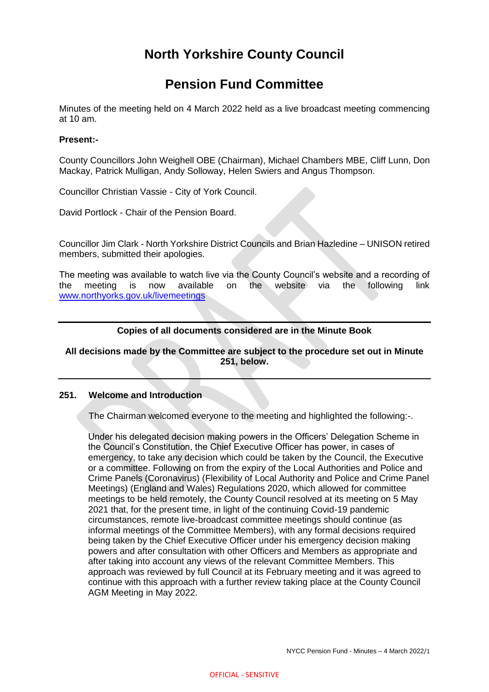# **North Yorkshire County Council**

# **Pension Fund Committee**

Minutes of the meeting held on 4 March 2022 held as a live broadcast meeting commencing at 10 am.

# **Present:-**

County Councillors John Weighell OBE (Chairman), Michael Chambers MBE, Cliff Lunn, Don Mackay, Patrick Mulligan, Andy Solloway, Helen Swiers and Angus Thompson.

Councillor Christian Vassie - City of York Council.

David Portlock - Chair of the Pension Board.

Councillor Jim Clark - North Yorkshire District Councils and Brian Hazledine – UNISON retired members, submitted their apologies.

The meeting was available to watch live via the County Council's website and a recording of the meeting is now available on the website via the following link [www.northyorks.gov.uk/livemeetings](http://www.northyorks.gov.uk/livemeetings)

# **Copies of all documents considered are in the Minute Book**

## **All decisions made by the Committee are subject to the procedure set out in Minute 251, below.**

## **251. Welcome and Introduction**

The Chairman welcomed everyone to the meeting and highlighted the following:-.

Under his delegated decision making powers in the Officers' Delegation Scheme in the Council's Constitution, the Chief Executive Officer has power, in cases of emergency, to take any decision which could be taken by the Council, the Executive or a committee. Following on from the expiry of the Local Authorities and Police and Crime Panels (Coronavirus) (Flexibility of Local Authority and Police and Crime Panel Meetings) (England and Wales) Regulations 2020, which allowed for committee meetings to be held remotely, the County Council resolved at its meeting on 5 May 2021 that, for the present time, in light of the continuing Covid-19 pandemic circumstances, remote live-broadcast committee meetings should continue (as informal meetings of the Committee Members), with any formal decisions required being taken by the Chief Executive Officer under his emergency decision making powers and after consultation with other Officers and Members as appropriate and after taking into account any views of the relevant Committee Members. This approach was reviewed by full Council at its February meeting and it was agreed to continue with this approach with a further review taking place at the County Council AGM Meeting in May 2022.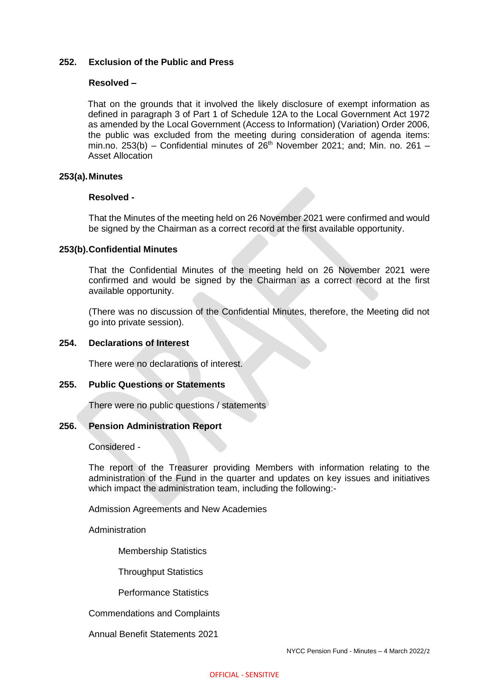## **252. Exclusion of the Public and Press**

#### **Resolved –**

That on the grounds that it involved the likely disclosure of exempt information as defined in paragraph 3 of Part 1 of Schedule 12A to the Local Government Act 1972 as amended by the Local Government (Access to Information) (Variation) Order 2006, the public was excluded from the meeting during consideration of agenda items: min.no. 253(b) – Confidential minutes of  $26<sup>th</sup>$  November 2021; and; Min. no. 261 – Asset Allocation

#### **253(a).Minutes**

#### **Resolved -**

That the Minutes of the meeting held on 26 November 2021 were confirmed and would be signed by the Chairman as a correct record at the first available opportunity.

## **253(b).Confidential Minutes**

That the Confidential Minutes of the meeting held on 26 November 2021 were confirmed and would be signed by the Chairman as a correct record at the first available opportunity.

(There was no discussion of the Confidential Minutes, therefore, the Meeting did not go into private session).

#### **254. Declarations of Interest**

There were no declarations of interest.

#### **255. Public Questions or Statements**

There were no public questions / statements

## **256. Pension Administration Report**

Considered -

The report of the Treasurer providing Members with information relating to the administration of the Fund in the quarter and updates on key issues and initiatives which impact the administration team, including the following:-

Admission Agreements and New Academies

Administration

Membership Statistics

Throughput Statistics

Performance Statistics

Commendations and Complaints

Annual Benefit Statements 2021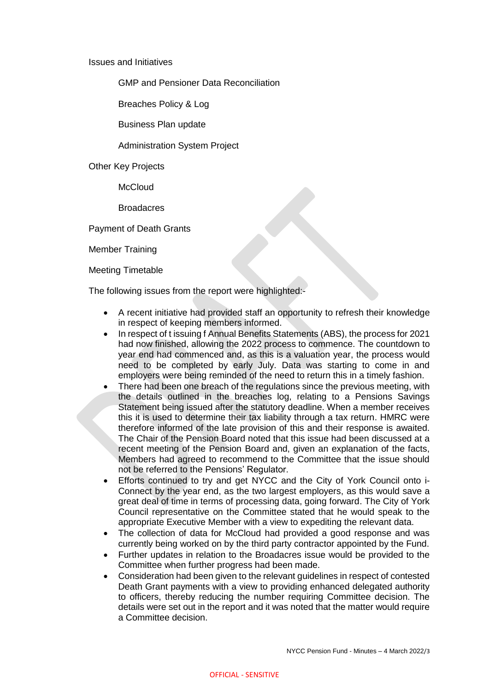#### Issues and Initiatives

GMP and Pensioner Data Reconciliation

Breaches Policy & Log

Business Plan update

# Administration System Project

Other Key Projects

**McCloud** 

**Broadacres** 

Payment of Death Grants

Member Training

Meeting Timetable

The following issues from the report were highlighted:-

- A recent initiative had provided staff an opportunity to refresh their knowledge in respect of keeping members informed.
- In respect of t issuing f Annual Benefits Statements (ABS), the process for 2021 had now finished, allowing the 2022 process to commence. The countdown to year end had commenced and, as this is a valuation year, the process would need to be completed by early July. Data was starting to come in and employers were being reminded of the need to return this in a timely fashion.
- There had been one breach of the regulations since the previous meeting, with the details outlined in the breaches log, relating to a Pensions Savings Statement being issued after the statutory deadline. When a member receives this it is used to determine their tax liability through a tax return. HMRC were therefore informed of the late provision of this and their response is awaited. The Chair of the Pension Board noted that this issue had been discussed at a recent meeting of the Pension Board and, given an explanation of the facts, Members had agreed to recommend to the Committee that the issue should not be referred to the Pensions' Regulator.
- Efforts continued to try and get NYCC and the City of York Council onto i-Connect by the year end, as the two largest employers, as this would save a great deal of time in terms of processing data, going forward. The City of York Council representative on the Committee stated that he would speak to the appropriate Executive Member with a view to expediting the relevant data.
- The collection of data for McCloud had provided a good response and was currently being worked on by the third party contractor appointed by the Fund.
- Further updates in relation to the Broadacres issue would be provided to the Committee when further progress had been made.
- Consideration had been given to the relevant guidelines in respect of contested Death Grant payments with a view to providing enhanced delegated authority to officers, thereby reducing the number requiring Committee decision. The details were set out in the report and it was noted that the matter would require a Committee decision.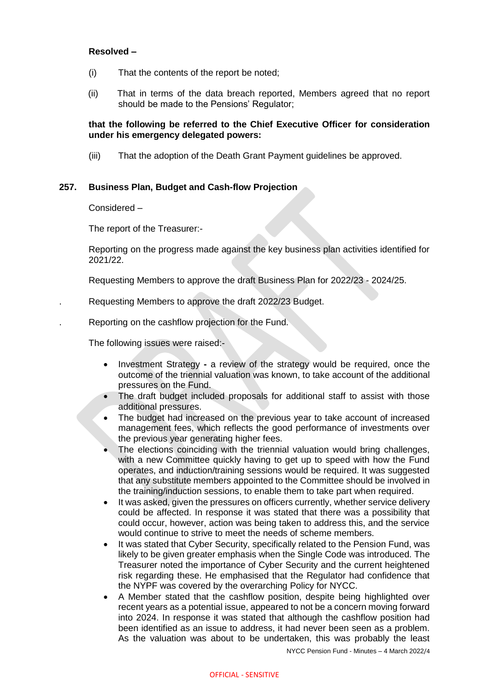## **Resolved –**

- (i) That the contents of the report be noted;
- (ii) That in terms of the data breach reported, Members agreed that no report should be made to the Pensions' Regulator;

## **that the following be referred to the Chief Executive Officer for consideration under his emergency delegated powers:**

(iii) That the adoption of the Death Grant Payment guidelines be approved.

## **257. Business Plan, Budget and Cash-flow Projection**

Considered –

The report of the Treasurer:-

Reporting on the progress made against the key business plan activities identified for 2021/22.

Requesting Members to approve the draft Business Plan for 2022/23 - 2024/25.

. Requesting Members to approve the draft 2022/23 Budget.

. Reporting on the cashflow projection for the Fund.

The following issues were raised:-

- Investment Strategy **-** a review of the strategy would be required, once the outcome of the triennial valuation was known, to take account of the additional pressures on the Fund.
- The draft budget included proposals for additional staff to assist with those additional pressures.
- The budget had increased on the previous year to take account of increased management fees, which reflects the good performance of investments over the previous year generating higher fees.
- The elections coinciding with the triennial valuation would bring challenges, with a new Committee quickly having to get up to speed with how the Fund operates, and induction/training sessions would be required. It was suggested that any substitute members appointed to the Committee should be involved in the training/induction sessions, to enable them to take part when required.
- It was asked, given the pressures on officers currently, whether service delivery could be affected. In response it was stated that there was a possibility that could occur, however, action was being taken to address this, and the service would continue to strive to meet the needs of scheme members.
- It was stated that Cyber Security, specifically related to the Pension Fund, was likely to be given greater emphasis when the Single Code was introduced. The Treasurer noted the importance of Cyber Security and the current heightened risk regarding these. He emphasised that the Regulator had confidence that the NYPF was covered by the overarching Policy for NYCC.
- A Member stated that the cashflow position, despite being highlighted over recent years as a potential issue, appeared to not be a concern moving forward into 2024. In response it was stated that although the cashflow position had been identified as an issue to address, it had never been seen as a problem. As the valuation was about to be undertaken, this was probably the least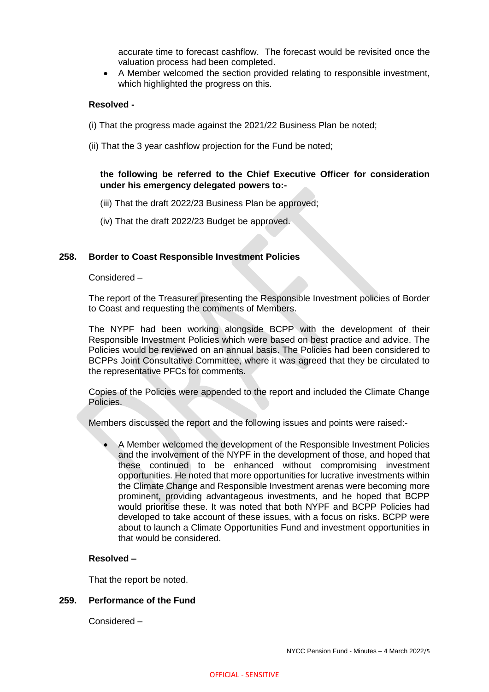accurate time to forecast cashflow. The forecast would be revisited once the valuation process had been completed.

 A Member welcomed the section provided relating to responsible investment, which highlighted the progress on this.

## **Resolved -**

- (i) That the progress made against the 2021/22 Business Plan be noted;
- (ii) That the 3 year cashflow projection for the Fund be noted;

# **the following be referred to the Chief Executive Officer for consideration under his emergency delegated powers to:-**

- (iii) That the draft 2022/23 Business Plan be approved;
- (iv) That the draft 2022/23 Budget be approved.

## **258. Border to Coast Responsible Investment Policies**

Considered –

The report of the Treasurer presenting the Responsible Investment policies of Border to Coast and requesting the comments of Members.

The NYPF had been working alongside BCPP with the development of their Responsible Investment Policies which were based on best practice and advice. The Policies would be reviewed on an annual basis. The Policies had been considered to BCPPs Joint Consultative Committee, where it was agreed that they be circulated to the representative PFCs for comments.

Copies of the Policies were appended to the report and included the Climate Change Policies.

Members discussed the report and the following issues and points were raised:-

 A Member welcomed the development of the Responsible Investment Policies and the involvement of the NYPF in the development of those, and hoped that these continued to be enhanced without compromising investment opportunities. He noted that more opportunities for lucrative investments within the Climate Change and Responsible Investment arenas were becoming more prominent, providing advantageous investments, and he hoped that BCPP would prioritise these. It was noted that both NYPF and BCPP Policies had developed to take account of these issues, with a focus on risks. BCPP were about to launch a Climate Opportunities Fund and investment opportunities in that would be considered.

## **Resolved –**

That the report be noted.

# **259. Performance of the Fund**

Considered –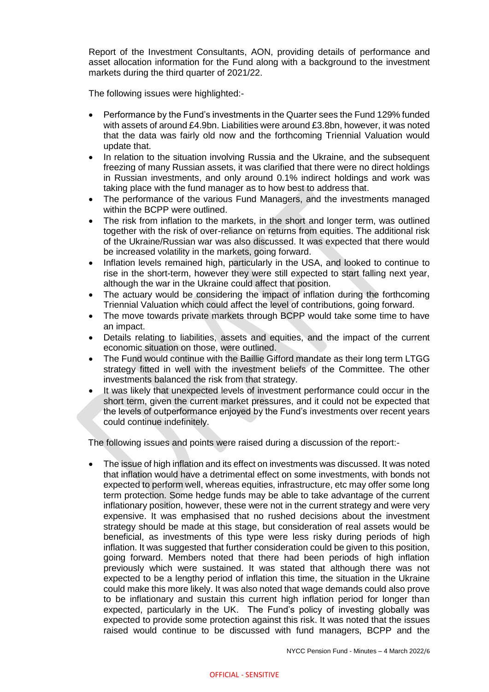Report of the Investment Consultants, AON, providing details of performance and asset allocation information for the Fund along with a background to the investment markets during the third quarter of 2021/22.

The following issues were highlighted:-

- Performance by the Fund's investments in the Quarter sees the Fund 129% funded with assets of around £4.9bn. Liabilities were around £3.8bn, however, it was noted that the data was fairly old now and the forthcoming Triennial Valuation would update that.
- In relation to the situation involving Russia and the Ukraine, and the subsequent freezing of many Russian assets, it was clarified that there were no direct holdings in Russian investments, and only around 0.1% indirect holdings and work was taking place with the fund manager as to how best to address that.
- The performance of the various Fund Managers, and the investments managed within the BCPP were outlined.
- The risk from inflation to the markets, in the short and longer term, was outlined together with the risk of over-reliance on returns from equities. The additional risk of the Ukraine/Russian war was also discussed. It was expected that there would be increased volatility in the markets, going forward.
- Inflation levels remained high, particularly in the USA, and looked to continue to rise in the short-term, however they were still expected to start falling next year, although the war in the Ukraine could affect that position.
- The actuary would be considering the impact of inflation during the forthcoming Triennial Valuation which could affect the level of contributions, going forward.
- The move towards private markets through BCPP would take some time to have an impact.
- Details relating to liabilities, assets and equities, and the impact of the current economic situation on those, were outlined.
- The Fund would continue with the Baillie Gifford mandate as their long term LTGG strategy fitted in well with the investment beliefs of the Committee. The other investments balanced the risk from that strategy.
- It was likely that unexpected levels of investment performance could occur in the short term, given the current market pressures, and it could not be expected that the levels of outperformance enjoyed by the Fund's investments over recent years could continue indefinitely.

The following issues and points were raised during a discussion of the report:-

 The issue of high inflation and its effect on investments was discussed. It was noted that inflation would have a detrimental effect on some investments, with bonds not expected to perform well, whereas equities, infrastructure, etc may offer some long term protection. Some hedge funds may be able to take advantage of the current inflationary position, however, these were not in the current strategy and were very expensive. It was emphasised that no rushed decisions about the investment strategy should be made at this stage, but consideration of real assets would be beneficial, as investments of this type were less risky during periods of high inflation. It was suggested that further consideration could be given to this position, going forward. Members noted that there had been periods of high inflation previously which were sustained. It was stated that although there was not expected to be a lengthy period of inflation this time, the situation in the Ukraine could make this more likely. It was also noted that wage demands could also prove to be inflationary and sustain this current high inflation period for longer than expected, particularly in the UK. The Fund's policy of investing globally was expected to provide some protection against this risk. It was noted that the issues raised would continue to be discussed with fund managers, BCPP and the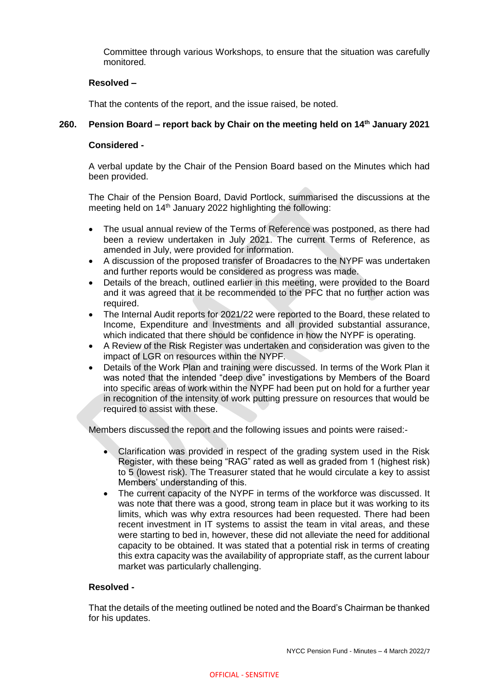Committee through various Workshops, to ensure that the situation was carefully monitored.

## **Resolved –**

That the contents of the report, and the issue raised, be noted.

## **260. Pension Board – report back by Chair on the meeting held on 14th January 2021**

## **Considered -**

A verbal update by the Chair of the Pension Board based on the Minutes which had been provided.

The Chair of the Pension Board, David Portlock, summarised the discussions at the meeting held on 14<sup>th</sup> January 2022 highlighting the following:

- The usual annual review of the Terms of Reference was postponed, as there had been a review undertaken in July 2021. The current Terms of Reference, as amended in July, were provided for information.
- A discussion of the proposed transfer of Broadacres to the NYPF was undertaken and further reports would be considered as progress was made.
- Details of the breach, outlined earlier in this meeting, were provided to the Board and it was agreed that it be recommended to the PFC that no further action was required.
- The Internal Audit reports for 2021/22 were reported to the Board, these related to Income, Expenditure and Investments and all provided substantial assurance, which indicated that there should be confidence in how the NYPF is operating.
- A Review of the Risk Register was undertaken and consideration was given to the impact of LGR on resources within the NYPF.
- Details of the Work Plan and training were discussed. In terms of the Work Plan it was noted that the intended "deep dive" investigations by Members of the Board into specific areas of work within the NYPF had been put on hold for a further year in recognition of the intensity of work putting pressure on resources that would be required to assist with these.

Members discussed the report and the following issues and points were raised:-

- Clarification was provided in respect of the grading system used in the Risk Register, with these being "RAG" rated as well as graded from 1 (highest risk) to 5 (lowest risk). The Treasurer stated that he would circulate a key to assist Members' understanding of this.
- The current capacity of the NYPF in terms of the workforce was discussed. It was note that there was a good, strong team in place but it was working to its limits, which was why extra resources had been requested. There had been recent investment in IT systems to assist the team in vital areas, and these were starting to bed in, however, these did not alleviate the need for additional capacity to be obtained. It was stated that a potential risk in terms of creating this extra capacity was the availability of appropriate staff, as the current labour market was particularly challenging.

#### **Resolved -**

That the details of the meeting outlined be noted and the Board's Chairman be thanked for his updates.